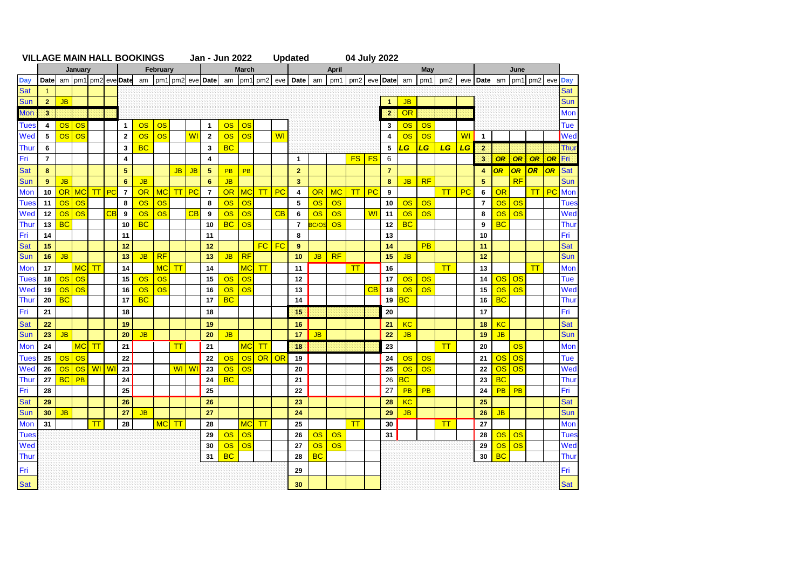|             | TILLAVL IIIAIIT HALL BUOITITUU |           |           |                        |                          |                                                                 | vuu .     |           |           |           | VWH LVLL       |           |           |              |                        | opuutu         |             |              |                    | VT VUIJ LULL |                |           |           |                 |                |                |           |                     |              |                |             |
|-------------|--------------------------------|-----------|-----------|------------------------|--------------------------|-----------------------------------------------------------------|-----------|-----------|-----------|-----------|----------------|-----------|-----------|--------------|------------------------|----------------|-------------|--------------|--------------------|--------------|----------------|-----------|-----------|-----------------|----------------|----------------|-----------|---------------------|--------------|----------------|-------------|
|             | January                        |           |           |                        |                          | February<br>am   pm1  pm2  eve Date   am   pm1  pm2  eve   Date |           |           |           |           | <b>March</b>   |           |           |              |                        |                |             | <b>April</b> |                    |              |                |           | May       |                 |                |                |           | June<br>pm1 pm2 eve |              |                |             |
| <b>Day</b>  | <b>Date</b>                    |           |           |                        |                          |                                                                 |           |           |           |           |                | am        |           | pm1 pm2      |                        | eve Date       | am          |              | pm1 pm2            |              | eve Date       | am        | pm1       | pm <sub>2</sub> |                | eve Date am    |           |                     |              |                | <b>Day</b>  |
| <b>Sat</b>  | $\overline{1}$                 |           |           |                        |                          |                                                                 |           |           |           |           |                |           |           |              |                        |                |             |              |                    |              |                |           |           |                 |                |                |           |                     |              |                | <b>Sat</b>  |
| <b>Sun</b>  | 2 <sup>2</sup>                 | <b>JB</b> |           |                        |                          |                                                                 |           |           |           |           |                |           |           |              |                        |                |             |              |                    |              | $\mathbf{1}$   | JB        |           |                 |                |                |           |                     |              |                | Sun         |
| <b>Mon</b>  | $\overline{\mathbf{3}}$        |           |           |                        |                          |                                                                 |           |           |           |           |                |           |           |              |                        |                |             |              |                    |              | $\mathbf{2}$   | <b>OR</b> |           |                 |                |                |           |                     |              |                | Mon         |
| <b>Tues</b> | $\overline{4}$                 | <b>OS</b> | OS        |                        |                          | $\mathbf{1}$                                                    | OS        | <b>OS</b> |           |           | $\mathbf{1}$   | <b>OS</b> | <b>OS</b> |              |                        |                |             |              |                    |              | 3              | OS        | <b>OS</b> |                 |                |                |           |                     |              |                | Tue         |
| Wed         | 5                              | <b>OS</b> | <b>OS</b> |                        |                          | $\mathbf{2}$                                                    | OS        | <b>OS</b> |           | <b>WI</b> | $\overline{2}$ | OS        | OS        |              | <b>WI</b>              |                |             |              |                    |              | $\overline{4}$ | OS        | OS        |                 | W <sub>1</sub> | $\mathbf{1}$   |           |                     |              |                | Wed         |
| Thur        | 6                              |           |           |                        |                          | 3                                                               | <b>BC</b> |           |           |           | $\mathbf{3}$   | <b>BC</b> |           |              |                        |                |             |              |                    |              | 5              | LG        | LG        | LG              | LG             | $\mathbf{2}$   |           |                     |              |                | Thui        |
| Fri         | $\overline{7}$                 |           |           |                        |                          | 4                                                               |           |           |           |           | 4              |           |           |              |                        | $\mathbf{1}$   |             |              | $FS$ $FS$          |              | 6              |           |           |                 |                | 3.             | OR        | OR                  | OR           | OR             | Fri         |
| <b>Sat</b>  | 8                              |           |           |                        |                          | 5                                                               |           |           | <b>JB</b> | <b>JB</b> | 5              | <b>PB</b> | PB        |              |                        | $\overline{2}$ |             |              |                    |              | $\overline{7}$ |           |           |                 |                | $\overline{4}$ | <b>OR</b> | OR                  | OR           | OR             | <b>Sat</b>  |
| <b>Sun</b>  | 9                              | <b>JB</b> |           |                        |                          | 6                                                               | <b>JB</b> |           |           |           | 6              | <b>JB</b> |           |              |                        | 3              |             |              |                    |              | 8              | <b>JB</b> | RF        |                 |                | 5              |           | RF                  |              |                | Sun         |
| <b>Mon</b>  | 10                             |           | OR MC     | T                      | PC                       | $\overline{7}$                                                  | <b>OR</b> | <b>MC</b> | T         | PC        | $\overline{7}$ | <b>OR</b> | <b>MC</b> | ाा           | $P_{\rm C}$            | 4              | OR          | <b>MC</b>    | $\boldsymbol{\pi}$ | PC           | 9              |           |           | T               | PC             | 6              | OR        |                     | T            | P <sub>C</sub> | Mon         |
| <b>Tues</b> | 11                             | <b>OS</b> | OS        |                        |                          | 8                                                               | OS        | <b>OS</b> |           |           | 8              | OS        | OS        |              |                        | 5              | OS          | OS           |                    |              | 10             | OS        | OS        |                 |                | $\overline{7}$ | <b>OS</b> | <b>OS</b>           |              |                | <b>Tues</b> |
| Wed         | 12                             | OS        | OS        |                        | $\overline{\texttt{CB}}$ | 9                                                               | OS        | OS        |           | CB        | 9              | OS        | OS        |              | CB                     | 6              | OS          | OS           |                    | <b>WI</b>    | 11             | OS        | OS        |                 |                | 8              | OS        | OS                  |              |                | Wed         |
| <b>Thur</b> | 13                             | <b>BC</b> |           |                        |                          | 10                                                              | <b>BC</b> |           |           |           | 10             | <b>BC</b> | <b>OS</b> |              |                        | $\overline{7}$ | <b>C/OS</b> | OS           |                    |              | 12             | <b>BC</b> |           |                 |                | 9              | <b>BC</b> |                     |              |                | Thui        |
| Fri         | 14                             |           |           |                        |                          | 11                                                              |           |           |           |           | 11             |           |           |              |                        | 8              |             |              |                    |              | 13             |           |           |                 |                | 10             |           |                     |              |                | Fri         |
| <b>Sat</b>  | 15                             |           |           |                        |                          | 12                                                              |           |           |           |           | 12             |           |           | <b>FC</b>    | FC                     | 9              |             |              |                    |              | 14             |           | PB        |                 |                | 11             |           |                     |              |                | <b>Sat</b>  |
| <b>Sun</b>  | 16                             | <b>JB</b> |           |                        |                          | 13                                                              | <b>JB</b> | RF        |           |           | 13             | <b>JB</b> | RF        |              |                        | 10             | JB          | RF           |                    |              | 15             | JB        |           |                 |                | 12             |           |                     |              |                | Sun         |
| <b>Mon</b>  | 17                             |           | <b>MC</b> | $\mathsf{T}\mathsf{T}$ |                          | 14                                                              |           | <b>MC</b> | TΤ        |           | 14             |           | <b>MC</b> | $\mathsf{T}$ |                        | 11             |             |              | $\bm{\pi}$         |              | 16             |           |           | π               |                | 13             |           |                     | $\mathsf{T}$ |                | Mon         |
| <b>Tues</b> | 18                             | <b>OS</b> | <b>OS</b> |                        |                          | 15                                                              | OS        | OS        |           |           | 15             | OS        | <b>OS</b> |              |                        | 12             |             |              |                    |              | 17             | OS        | OS        |                 |                | 14             | <b>OS</b> | <b>OS</b>           |              |                | Tue         |
| Wed         | 19                             | <b>OS</b> | OS        |                        |                          | 16                                                              | OS        | OS        |           |           | 16             | OS        | <b>OS</b> |              |                        | 13             |             |              |                    | CB           | 18             | <b>OS</b> | OS        |                 |                | 15             | OS        | <b>OS</b>           |              |                | Wed         |
| <b>Thur</b> | 20                             | <b>BC</b> |           |                        |                          | 17                                                              | <b>BC</b> |           |           |           | 17             | <b>BC</b> |           |              |                        | 14             |             |              |                    |              | 19             | <b>BC</b> |           |                 |                | 16             | <b>BC</b> |                     |              |                | Thur        |
| Fri         | 21                             |           |           |                        |                          | 18                                                              |           |           |           |           | 18             |           |           |              |                        | 15             |             |              |                    |              | 20             |           |           |                 |                | 17             |           |                     |              |                | Fri         |
| <b>Sat</b>  | 22                             |           |           |                        |                          | 19                                                              |           |           |           |           | 19             |           |           |              |                        | 16             |             |              |                    |              | 21             | <b>KC</b> |           |                 |                | 18             | <b>KC</b> |                     |              |                | <b>Sat</b>  |
| <b>Sun</b>  | 23                             | <b>JB</b> |           |                        |                          | 20                                                              | <b>JB</b> |           |           |           | 20             | <b>JB</b> |           |              |                        | 17             | <b>JB</b>   |              |                    |              | 22             | <b>JB</b> |           |                 |                | 19             | <b>JB</b> |                     |              |                | Sun         |
| <b>Mon</b>  | 24                             |           | <b>MC</b> | $\mathsf{T}$           |                          | 21                                                              |           |           | T         |           | 21             |           | <b>MC</b> | $\mathsf{T}$ |                        | 18             |             |              |                    |              | 23             |           |           | π               |                | 20             |           | <b>OS</b>           |              |                | Mon         |
| <b>Tues</b> | 25                             | <b>OS</b> | <b>OS</b> |                        |                          | 22                                                              |           |           |           |           | 22             | <b>OS</b> | <b>OS</b> | OR           | $\overline{\text{OR}}$ | 19             |             |              |                    |              | 24             | OS        | OS        |                 |                | 21             | OS        | OS                  |              |                | <b>Tue</b>  |
| Wed         | 26                             | <b>OS</b> | OS        | <b>WI</b>              | W                        | 23                                                              |           |           | <b>WI</b> | WI        | 23             | OS        | <b>OS</b> |              |                        | 20             |             |              |                    |              | 25             | OS        | <b>OS</b> |                 |                | 22             | OS        | OS                  |              |                | Wed         |
| <b>Thur</b> | 27                             | <b>BC</b> | PB        |                        |                          | 24                                                              |           |           |           |           | 24             | <b>BC</b> |           |              |                        | 21             |             |              |                    |              | 26             | <b>BC</b> |           |                 |                | 23             | <b>BC</b> |                     |              |                | Thui        |
| Fri         | 28                             |           |           |                        |                          | 25                                                              |           |           |           |           | 25             |           |           |              |                        | 22             |             |              |                    |              | 27             | <b>PB</b> | <b>PB</b> |                 |                | 24             | <b>PB</b> | <b>PB</b>           |              |                | Fri         |
| <b>Sat</b>  | 29                             |           |           |                        |                          | 26                                                              |           |           |           |           | 26             |           |           |              |                        | 23             |             |              |                    |              | 28             | <b>KC</b> |           |                 |                | 25             |           |                     |              |                | <b>Sat</b>  |
| <b>Sun</b>  | 30                             | <b>JB</b> |           |                        |                          | 27                                                              | <b>JB</b> |           |           |           | 27             |           |           |              |                        | 24             |             |              |                    |              | 29             | <b>JB</b> |           |                 |                | 26             | <b>JB</b> |                     |              |                | Sun         |
| Mon         | 31                             |           |           | T                      |                          | 28                                                              |           | <b>MC</b> | T         |           | 28             |           | <b>MC</b> | T            |                        | 25             |             |              | $\boldsymbol{\pi}$ |              | 30             |           |           | T               |                | 27             |           |                     |              |                | Mon         |
| <b>Tues</b> |                                |           |           |                        |                          |                                                                 |           |           |           |           | 29             | OS        | <b>OS</b> |              |                        | 26             | OS          | <b>OS</b>    |                    |              | 31             |           |           |                 |                | 28             | OS        | OS                  |              |                | <b>Tues</b> |
| Wed         |                                |           |           |                        |                          |                                                                 |           |           |           |           | 30             | <b>OS</b> | OS        |              |                        | 27             | <b>OS</b>   | OS           |                    |              |                |           |           |                 |                | 29             | <b>OS</b> | <b>OS</b>           |              |                | Wed         |
| <b>Thur</b> |                                |           |           |                        |                          |                                                                 |           |           |           |           | 31             | <b>BC</b> |           |              |                        | 28             | <b>BC</b>   |              |                    |              |                |           |           |                 |                | 30             | BC        |                     |              |                | Thui        |
|             |                                |           |           |                        |                          |                                                                 |           |           |           |           |                |           |           |              |                        |                |             |              |                    |              |                |           |           |                 |                |                |           |                     |              |                |             |
| Fri         |                                |           |           |                        |                          |                                                                 |           |           |           |           |                |           |           |              |                        | 29             |             |              |                    |              |                |           |           |                 |                |                |           |                     |              |                | Fri         |
| <b>Sat</b>  |                                |           |           |                        |                          |                                                                 |           |           |           |           |                |           |           |              |                        | 30             |             |              |                    |              |                |           |           |                 |                |                |           |                     |              |                | <b>Sat</b>  |

## **VILLAGE MAIN HALL BOOKINGS Updated Jan - Jun 2022 04 July 2022**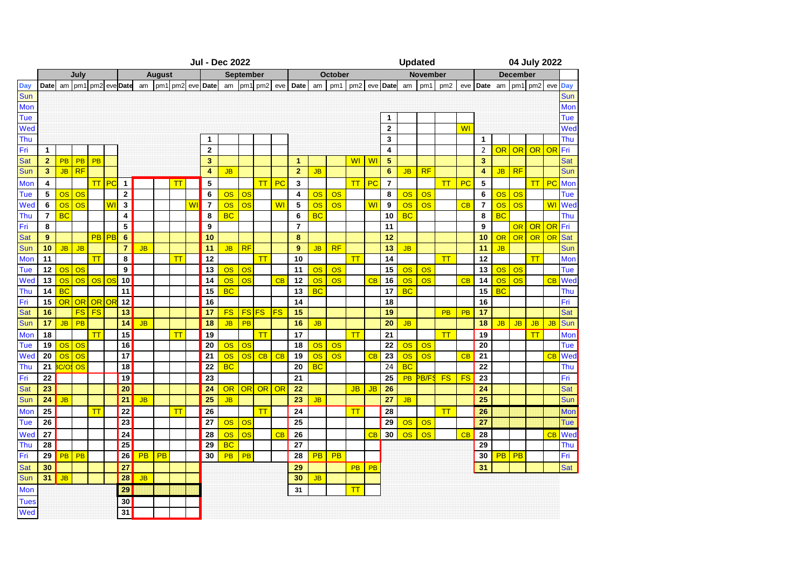|             | <b>Jul - Dec 2022</b> |           |           |           |                         |                 |           |               |         |           |                         |           |                                 | <b>Updated</b>  |           |                         |           |           |                         | 04 July 2022   |                         |                 |             |                 |           |                         |                        |           |              |           |            |
|-------------|-----------------------|-----------|-----------|-----------|-------------------------|-----------------|-----------|---------------|---------|-----------|-------------------------|-----------|---------------------------------|-----------------|-----------|-------------------------|-----------|-----------|-------------------------|----------------|-------------------------|-----------------|-------------|-----------------|-----------|-------------------------|------------------------|-----------|--------------|-----------|------------|
|             | July                  |           |           |           |                         |                 |           | <b>August</b> |         |           |                         | September |                                 |                 | October   |                         |           |           |                         |                |                         | <b>November</b> |             |                 |           |                         |                        |           |              |           |            |
| Day         | Date                  | am        | pm1       |           |                         | pm2 eve Date    | am        |               | pm1 pm2 |           | evel Date               | am        | pm1                             | pm <sub>2</sub> | eve       | Date                    | am        | pm1       | pm <sub>2</sub>         |                | eve Date                | am              | pm1         | pm <sub>2</sub> | eve       | Date                    | am                     | pm1       | pm2 eve      |           | Day        |
| <b>Sun</b>  |                       |           |           |           |                         |                 |           |               |         |           |                         |           |                                 |                 |           |                         |           |           |                         |                |                         |                 |             |                 |           |                         |                        |           |              |           | Sun        |
| Mon         |                       |           |           |           |                         |                 |           |               |         |           |                         |           |                                 |                 |           |                         |           |           |                         |                |                         |                 |             |                 |           |                         |                        |           |              |           | Mon        |
| Tue         |                       |           |           |           |                         |                 |           |               |         |           |                         |           |                                 |                 |           |                         |           |           |                         |                | $\mathbf{1}$            |                 |             |                 |           |                         |                        |           |              |           | <b>Tue</b> |
| Wed         |                       |           |           |           |                         |                 |           |               |         |           |                         |           |                                 |                 |           |                         |           |           |                         |                | $\overline{2}$          |                 |             |                 | <b>WI</b> |                         |                        |           |              |           | Wed        |
| Thu         |                       |           |           |           |                         |                 |           |               |         |           | 1                       |           |                                 |                 |           |                         |           |           |                         |                | 3                       |                 |             |                 |           | $\mathbf{1}$            |                        |           |              |           | Thu        |
| Fri         | $\mathbf{1}$          |           |           |           |                         |                 |           |               |         |           | $\overline{2}$          |           |                                 |                 |           |                         |           |           |                         |                | $\overline{\mathbf{4}}$ |                 |             |                 |           | $\overline{2}$          | <b>OR</b>              | <b>OR</b> | <b>OR OR</b> |           | Fri        |
| <b>Sat</b>  | $\overline{2}$        | <b>PB</b> | <b>PB</b> | PB        |                         |                 |           |               |         |           | 3                       |           |                                 |                 |           | $\overline{1}$          |           |           | WI                      | <b>WI</b>      | 5                       |                 |             |                 |           | $\overline{\mathbf{3}}$ |                        |           |              |           | <b>Sat</b> |
| Sun         | 3                     | <b>JB</b> | RF        |           |                         |                 |           |               |         |           | $\overline{\mathbf{4}}$ | <b>JB</b> |                                 |                 |           | $\overline{2}$          | <b>JB</b> |           |                         |                | $6\phantom{1}6$         | <b>JB</b>       | RF          |                 |           | 4                       | <b>JB</b>              | RF        |              |           | Sun        |
| Mon         | 4                     |           |           | T         | <b>IPC</b>              | $\mathbf{1}$    |           |               | TΤ      |           | 5                       |           |                                 | TT              | PC        | 3                       |           |           | $\mathsf{T}$            | PC             | $\overline{7}$          |                 |             | T               | PC        | 5                       |                        |           | $TT$ PC      |           | Mon        |
| Tue         | 5                     | OS        | OS        |           |                         | $\mathbf{2}$    |           |               |         |           | 6                       | OS        | OS                              |                 |           | $\overline{\mathbf{4}}$ | <b>OS</b> | <b>OS</b> |                         |                | 8                       | <b>OS</b>       | OS          |                 |           | 6                       | <b>OS</b>              | <b>OS</b> |              |           | Tue        |
| Wed         | 6                     | <b>OS</b> | OS        |           | <b>WI</b>               | 3               |           |               |         | <b>WI</b> | $\overline{7}$          | <b>OS</b> | <b>OS</b>                       |                 | <b>WI</b> | 5                       | <b>OS</b> | <b>OS</b> |                         | W <sub>l</sub> | 9                       | <b>OS</b>       | OS          |                 | CB        | $\overline{7}$          | $\overline{\text{OS}}$ | <b>OS</b> |              | <b>WI</b> | Wec        |
| Thu         | $\overline{7}$        | <b>BC</b> |           |           |                         | 4               |           |               |         |           | 8                       | <b>BC</b> |                                 |                 |           | 6                       | <b>BC</b> |           |                         |                | 10                      | <b>BC</b>       |             |                 |           | 8                       | <b>BC</b>              |           |              |           | Thu        |
| Fri         | 8                     |           |           |           |                         | 5               |           |               |         |           | 9                       |           |                                 |                 |           | $\overline{7}$          |           |           |                         |                | 11                      |                 |             |                 |           | 9                       |                        | OR        | OR OR        |           | Fri        |
| <b>Sat</b>  | 9                     |           |           |           | <b>PB</b> <sub>PB</sub> | 6               |           |               |         |           | 10                      |           |                                 |                 |           | 8                       |           |           |                         |                | 12                      |                 |             |                 |           | 10                      | OR                     | OR        | OR           | OR        | <b>Sat</b> |
| Sun         | 10                    | <b>JB</b> | <b>JB</b> |           |                         | $\overline{7}$  | <b>JB</b> |               |         |           | 11                      | <b>JB</b> | RF                              |                 |           | 9                       | <b>JB</b> | <b>RF</b> |                         |                | 13                      | <b>JB</b>       |             |                 |           | 11                      | <b>JB</b>              |           |              |           | Sun        |
| <b>Mon</b>  | 11                    |           |           | T         |                         | 8               |           |               | T       |           | 12                      |           |                                 | $\mathsf{T}$    |           | 10                      |           |           | $\overline{\mathsf{H}}$ |                | 14                      |                 |             | T               |           | 12                      |                        |           | $\mathsf{T}$ |           | Mon        |
| Tue         | 12                    | <b>OS</b> | <b>OS</b> |           |                         | 9               |           |               |         |           | 13                      | OS        | <b>OS</b>                       |                 |           | 11                      | <b>OS</b> | <b>OS</b> |                         |                | 15                      | <b>OS</b>       | OS          |                 |           | 13                      | <b>OS</b>              | <b>OS</b> |              |           | Tue        |
| Wed         | 13                    | <b>OS</b> | OS        | OS        | <b>los</b>              | 10              |           |               |         |           | 14                      | <b>OS</b> | OS                              |                 | CB        | 12                      | <b>OS</b> | <b>OS</b> |                         | CB             | 16                      | <b>OS</b>       | <b>OS</b>   |                 | CB        | 14                      | <b>OS</b>              | <b>OS</b> |              | CB        | Wec        |
| Thu         | 14                    | <b>BC</b> |           |           |                         | 11              |           |               |         |           | 15                      | <b>BC</b> |                                 |                 |           | 13                      | <b>BC</b> |           |                         |                | 17                      | <b>BC</b>       |             |                 |           | 15                      | <b>BC</b>              |           |              |           | Thu        |
| Fri         | 15                    | OR        | OR        | OR OF     |                         | 12              |           |               |         |           | 16                      |           |                                 |                 |           | 14                      |           |           |                         |                | 18                      |                 |             |                 |           | 16                      |                        |           |              |           | Fri        |
| <b>Sat</b>  | 16                    |           | <b>FS</b> | <b>FS</b> |                         | 13              |           |               |         |           | 17                      | <b>FS</b> | $FS$ <sub><math>FS</math></sub> |                 | <b>FS</b> | 15                      |           |           |                         |                | 19                      |                 |             | <b>PB</b>       | PB        | 17                      |                        |           |              |           | <b>Sat</b> |
| Sun         | 17                    | <b>JB</b> | PB        |           |                         | 14              | <b>JB</b> |               |         |           | 18                      | <b>JB</b> | PB                              |                 |           | 16                      | <b>JB</b> |           |                         |                | 20                      | <b>JB</b>       |             |                 |           | 18                      | <b>JB</b>              | <b>JB</b> | <b>JB</b>    | JB        | Sun        |
| Mon         | 18                    |           |           | T         |                         | 15              |           |               | T       |           | 19                      |           |                                 | $\mathsf{T}$    |           | 17                      |           |           | $\boldsymbol{\pi}$      |                | 21                      |                 |             | TT              |           | 19                      |                        |           | T            |           | Mon        |
| Tue         | 19                    | <b>OS</b> | OS        |           |                         | 16              |           |               |         |           | 20                      | OS        | <b>OS</b>                       |                 |           | 18                      | OS        | <b>OS</b> |                         |                | 22                      | OS              | OS          |                 |           | 20                      |                        |           |              |           | Tue        |
| Wed         | 20                    | <b>OS</b> | OS        |           |                         | 17              |           |               |         |           | 21                      | OS        | <b>OS</b>                       | CB              | CB        | 19                      | <b>OS</b> | <b>OS</b> |                         | CB             | 23                      | <b>OS</b>       | <b>OS</b>   |                 | CB        | 21                      |                        |           |              | CB        | Wed        |
| Thu         | 21                    | C/O       | OS        |           |                         | 18              |           |               |         |           | 22                      | <b>BC</b> |                                 |                 |           | 20                      | <b>BC</b> |           |                         |                | 24                      | <b>BC</b>       |             |                 |           | 22                      |                        |           |              |           | Thu        |
| Fri         | 22                    |           |           |           |                         | 19              |           |               |         |           | 23                      |           |                                 |                 |           | 21                      |           |           |                         |                | 25                      | <b>PB</b>       | <b>PB/F</b> | <b>FS</b>       | <b>FS</b> | 23                      |                        |           |              |           | Fri        |
| <b>Sat</b>  | 23                    |           |           |           |                         | 20              |           |               |         |           | 24                      | <b>OR</b> | OR                              | OR              | OR        | 22                      |           |           | <b>JB</b>               | <b>JB</b>      | 26                      |                 |             |                 |           | 24                      |                        |           |              |           | Sat        |
| Sun         | 24                    | <b>JB</b> |           |           |                         | $\overline{21}$ | <b>JB</b> |               |         |           | 25                      | <b>JB</b> |                                 |                 |           | 23                      | <b>JB</b> |           |                         |                | 27                      | <b>JB</b>       |             |                 |           | 25                      |                        |           |              |           | Sun        |
| Mon         | 25                    |           |           | T         |                         | 22              |           |               | T       |           | 26                      |           |                                 | T               |           | 24                      |           |           | $\overline{\mathsf{H}}$ |                | 28                      |                 |             | T               |           | 26                      |                        |           |              |           | Mon        |
| Tue         | 26                    |           |           |           |                         | $\overline{23}$ |           |               |         |           | 27                      | OS        | <b>OS</b>                       |                 |           | 25                      |           |           |                         |                | 29                      | <b>OS</b>       | OS          |                 |           | $\overline{27}$         |                        |           |              |           | <b>Tue</b> |
| Wed         | 27                    |           |           |           |                         | 24              |           |               |         |           | 28                      | OS        | OS                              |                 | CB        | 26                      |           |           |                         | CB             | 30                      | <b>OS</b>       | <b>OS</b>   |                 | CB        | 28                      |                        |           |              | CB        | Wed        |
| Thu         | 28                    |           |           |           |                         | 25              |           |               |         |           | 29                      | <b>BC</b> |                                 |                 |           | 27                      |           |           |                         |                |                         |                 |             |                 |           | 29                      |                        |           |              |           | Thu        |
| Fri         | 29                    | <b>PB</b> | PB        |           |                         | 26              | PB        | PB            |         |           | 30                      | <b>PB</b> | PB                              |                 |           | 28                      | <b>PB</b> | <b>PB</b> |                         |                |                         |                 |             |                 |           | 30                      | PB                     | PB        |              |           | Fri        |
| <b>Sat</b>  | 30                    |           |           |           |                         | 27              |           |               |         |           |                         |           |                                 |                 |           | 29                      |           |           | <b>PB</b>               | <b>PB</b>      |                         |                 |             |                 |           | 31                      |                        |           |              |           | Sat        |
| Sun         | 31                    | <b>JB</b> |           |           |                         | 28              | <b>JB</b> |               |         |           |                         |           |                                 |                 |           | 30                      | <b>JB</b> |           |                         |                |                         |                 |             |                 |           |                         |                        |           |              |           |            |
| <b>Mon</b>  |                       |           |           |           |                         | 29              |           |               |         |           |                         |           |                                 |                 |           | 31                      |           |           | $\boldsymbol{\pi}$      |                |                         |                 |             |                 |           |                         |                        |           |              |           |            |
| <b>Tues</b> |                       |           |           |           |                         | 30              |           |               |         |           |                         |           |                                 |                 |           |                         |           |           |                         |                |                         |                 |             |                 |           |                         |                        |           |              |           |            |
| Wed         |                       |           |           |           |                         | 31              |           |               |         |           |                         |           |                                 |                 |           |                         |           |           |                         |                |                         |                 |             |                 |           |                         |                        |           |              |           |            |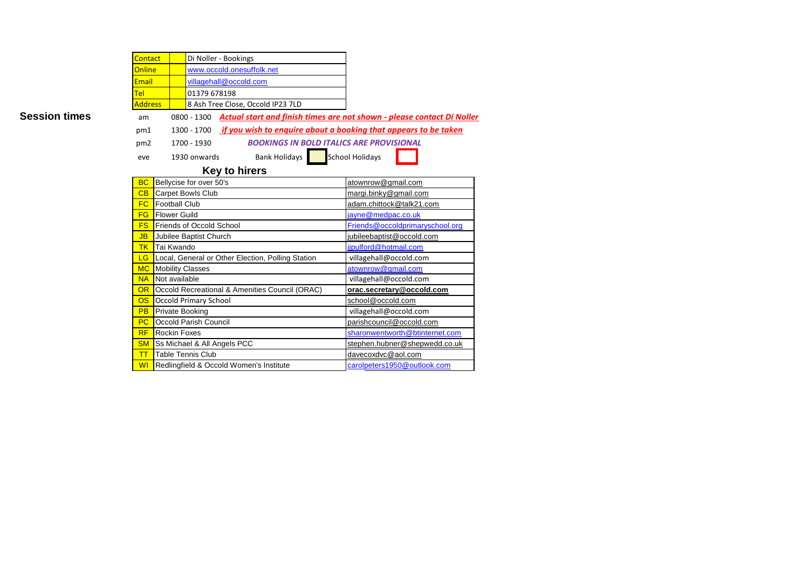|                      | Contact         |                         |                                                                                              | Di Noller - Bookings                                            |                                 |  |  |  |  |  |  |
|----------------------|-----------------|-------------------------|----------------------------------------------------------------------------------------------|-----------------------------------------------------------------|---------------------------------|--|--|--|--|--|--|
|                      | Online          |                         |                                                                                              | www.occold.onesuffolk.net                                       |                                 |  |  |  |  |  |  |
|                      | <b>Email</b>    |                         |                                                                                              | villagehall@occold.com                                          |                                 |  |  |  |  |  |  |
|                      | <b>Tel</b>      |                         | 01379 678198                                                                                 |                                                                 |                                 |  |  |  |  |  |  |
|                      | <b>Address</b>  |                         |                                                                                              | 8 Ash Tree Close, Occold IP23 7LD                               |                                 |  |  |  |  |  |  |
| <b>Session times</b> | am              |                         | <b>Actual start and finish times are not shown - please contact Di Noller</b><br>0800 - 1300 |                                                                 |                                 |  |  |  |  |  |  |
|                      | pm1             |                         | 1300 - 1700                                                                                  | if you wish to enguire about a booking that appears to be taken |                                 |  |  |  |  |  |  |
|                      | pm <sub>2</sub> |                         | 1700 - 1930                                                                                  | <b>BOOKINGS IN BOLD ITALICS ARE PROVISIONAL</b>                 |                                 |  |  |  |  |  |  |
|                      | eve             |                         | 1930 onwards                                                                                 | <b>Bank Holidays</b>                                            | School Holidays                 |  |  |  |  |  |  |
|                      |                 |                         |                                                                                              |                                                                 |                                 |  |  |  |  |  |  |
|                      | <b>BC</b>       |                         | Bellycise for over 50's                                                                      | <b>Key to hirers</b>                                            | atownrow@gmail.com              |  |  |  |  |  |  |
|                      | CB              |                         | <b>Carpet Bowls Club</b>                                                                     |                                                                 | margi.binky@gmail.com           |  |  |  |  |  |  |
|                      | <b>FC</b>       | <b>Football Club</b>    |                                                                                              |                                                                 | adam.chittock@talk21.com        |  |  |  |  |  |  |
|                      | FG              | <b>Flower Guild</b>     |                                                                                              |                                                                 | jayne@medpac.co.uk              |  |  |  |  |  |  |
|                      | <b>FS</b>       |                         | Friends of Occold School                                                                     |                                                                 | Friends@occoldprimaryschool.org |  |  |  |  |  |  |
|                      | <b>JB</b>       |                         | Jubilee Baptist Church                                                                       |                                                                 | jubileebaptist@occold.com       |  |  |  |  |  |  |
|                      | <b>TK</b>       | Tai Kwando              |                                                                                              |                                                                 | iipulford@hotmail.com           |  |  |  |  |  |  |
|                      | LG              |                         |                                                                                              | Local, General or Other Election, Polling Station               | villagehall@occold.com          |  |  |  |  |  |  |
|                      | <b>MC</b>       | <b>Mobility Classes</b> |                                                                                              |                                                                 | atownrow@gmail.com              |  |  |  |  |  |  |
|                      | <b>NA</b>       | Not available           |                                                                                              |                                                                 | villagehall@occold.com          |  |  |  |  |  |  |
|                      | <b>OR</b>       |                         |                                                                                              | Occold Recreational & Amenities Council (ORAC)                  | orac.secretary@occold.com       |  |  |  |  |  |  |
|                      | OS              |                         | <b>Occold Primary School</b>                                                                 |                                                                 | school@occold.com               |  |  |  |  |  |  |
|                      | <b>PB</b>       | Private Booking         |                                                                                              | villagehall@occold.com                                          |                                 |  |  |  |  |  |  |
|                      | PC              |                         | Occold Parish Council                                                                        |                                                                 | parishcouncil@occold.com        |  |  |  |  |  |  |
|                      | <b>RF</b>       | <b>Rockin Foxes</b>     |                                                                                              |                                                                 | sharonwentworth@btinternet.com  |  |  |  |  |  |  |
|                      | <b>SM</b>       |                         |                                                                                              | Ss Michael & All Angels PCC                                     | stephen.hubner@shepwedd.co.uk   |  |  |  |  |  |  |
|                      | T               |                         | <b>Table Tennis Club</b>                                                                     |                                                                 | davecoxdvc@aol.com              |  |  |  |  |  |  |
|                      | WI              |                         |                                                                                              | Redlingfield & Occold Women's Institute                         | carolpeters1950@outlook.com     |  |  |  |  |  |  |